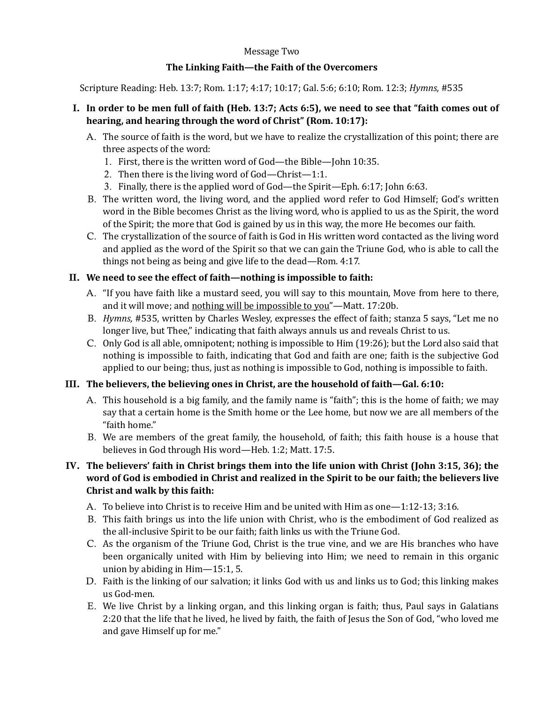#### Message Two

#### The Linking Faith—the Faith of the Overcomers

Scripture Reading: Heb. 13:7; Rom. 1:17; 4:17; 10:17; Gal. 5:6; 6:10; Rom. 12:3; *Hymns*, #535

#### I. In order to be men full of faith (Heb. 13:7; Acts 6:5), we need to see that "faith comes out of hearing, and hearing through the word of Christ" (Rom. 10:17):

- A. The source of faith is the word, but we have to realize the crystallization of this point; there are three aspects of the word:
	- 1. First, there is the written word of God—the Bible—John 10:35.
	- 2. Then there is the living word of  $God—Christ—1:1.$
	- 3. Finally, there is the applied word of God—the Spirit—Eph. 6:17; John 6:63.
- B. The written word, the living word, and the applied word refer to God Himself; God's written word in the Bible becomes Christ as the living word, who is applied to us as the Spirit, the word of the Spirit; the more that God is gained by us in this way, the more He becomes our faith.
- C. The crystallization of the source of faith is God in His written word contacted as the living word and applied as the word of the Spirit so that we can gain the Triune God, who is able to call the things not being as being and give life to the dead—Rom.  $4:17$ .

#### II. We need to see the effect of faith—nothing is impossible to faith:

- A. "If you have faith like a mustard seed, you will say to this mountain, Move from here to there, and it will move; and nothing will be impossible to you"—Matt. 17:20b.
- B. *Hymns,* #535, written by Charles Wesley, expresses the effect of faith; stanza 5 says, "Let me no longer live, but Thee," indicating that faith always annuls us and reveals Christ to us.
- C. Only God is all able, omnipotent; nothing is impossible to Him (19:26); but the Lord also said that nothing is impossible to faith, indicating that God and faith are one; faith is the subjective God applied to our being; thus, just as nothing is impossible to God, nothing is impossible to faith.

# III. The believers, the believing ones in Christ, are the household of faith—Gal. 6:10:

- A. This household is a big family, and the family name is "faith"; this is the home of faith; we may say that a certain home is the Smith home or the Lee home, but now we are all members of the "faith home."
- B. We are members of the great family, the household, of faith; this faith house is a house that believes in God through His word-Heb. 1:2; Matt. 17:5.

# IV. The believers' faith in Christ brings them into the life union with Christ (John 3:15, 36); the word of God is embodied in Christ and realized in the Spirit to be our faith; the believers live **Christ and walk by this faith:**

- A. To believe into Christ is to receive Him and be united with Him as one—1:12-13; 3:16.
- B. This faith brings us into the life union with Christ, who is the embodiment of God realized as the all-inclusive Spirit to be our faith; faith links us with the Triune God.
- C. As the organism of the Triune God, Christ is the true vine, and we are His branches who have been organically united with Him by believing into Him; we need to remain in this organic union by abiding in  $\text{Him}\text{-}15:1, 5$ .
- D. Faith is the linking of our salvation; it links God with us and links us to God; this linking makes us God-men.
- E. We live Christ by a linking organ, and this linking organ is faith; thus, Paul says in Galatians 2:20 that the life that he lived, he lived by faith, the faith of Jesus the Son of God, "who loved me and gave Himself up for me."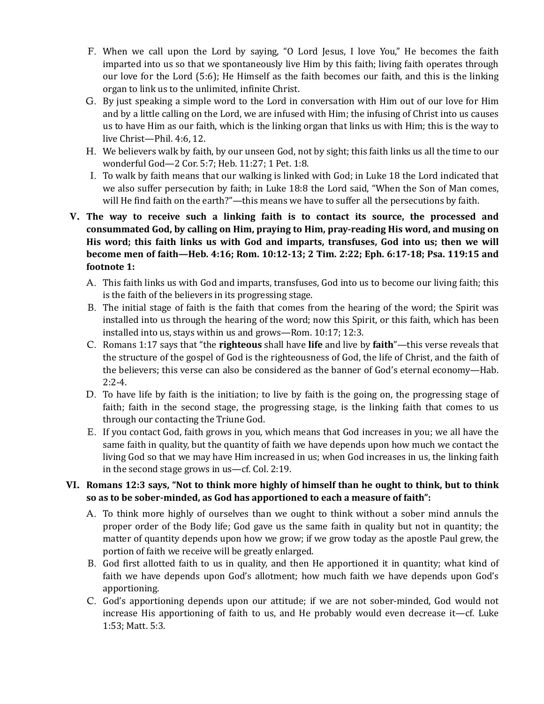- F. When we call upon the Lord by saying, "O Lord Jesus, I love You," He becomes the faith imparted into us so that we spontaneously live Him by this faith; living faith operates through our love for the Lord  $(5:6)$ ; He Himself as the faith becomes our faith, and this is the linking organ to link us to the unlimited, infinite Christ.
- G. By just speaking a simple word to the Lord in conversation with Him out of our love for Him and by a little calling on the Lord, we are infused with Him; the infusing of Christ into us causes us to have Him as our faith, which is the linking organ that links us with Him; this is the way to live Christ-Phil. 4:6, 12.
- H. We believers walk by faith, by our unseen God, not by sight; this faith links us all the time to our wonderful God-2 Cor. 5:7; Heb. 11:27; 1 Pet. 1:8.
- I. To walk by faith means that our walking is linked with God; in Luke 18 the Lord indicated that we also suffer persecution by faith; in Luke 18:8 the Lord said, "When the Son of Man comes, will He find faith on the earth?"—this means we have to suffer all the persecutions by faith.

# V. The way to receive such a linking faith is to contact its source, the processed and consummated God, by calling on Him, praying to Him, pray-reading His word, and musing on **His** word; this faith links us with God and imparts, transfuses, God into us; then we will **become men of faith—Heb. 4:16; Rom. 10:12-13; 2 Tim. 2:22; Eph. 6:17-18; Psa. 119:15 and** footnote 1:

- A. This faith links us with God and imparts, transfuses, God into us to become our living faith; this is the faith of the believers in its progressing stage.
- B. The initial stage of faith is the faith that comes from the hearing of the word; the Spirit was installed into us through the hearing of the word; now this Spirit, or this faith, which has been installed into us, stays within us and grows—Rom.  $10:17$ ;  $12:3$ .
- C. Romans 1:17 says that "the **righteous** shall have **life** and live by **faith**"—this verse reveals that the structure of the gospel of God is the righteousness of God, the life of Christ, and the faith of the believers; this verse can also be considered as the banner of God's eternal economy—Hab. 2:2-4.
- D. To have life by faith is the initiation; to live by faith is the going on, the progressing stage of faith; faith in the second stage, the progressing stage, is the linking faith that comes to us through our contacting the Triune God.
- E. If you contact God, faith grows in you, which means that God increases in you; we all have the same faith in quality, but the quantity of faith we have depends upon how much we contact the living God so that we may have Him increased in us; when God increases in us, the linking faith in the second stage grows in us—cf. Col. 2:19.

# VI. Romans 12:3 says, "Not to think more highly of himself than he ought to think, but to think so as to be sober-minded, as God has apportioned to each a measure of faith":

- A. To think more highly of ourselves than we ought to think without a sober mind annuls the proper order of the Body life; God gave us the same faith in quality but not in quantity; the matter of quantity depends upon how we grow; if we grow today as the apostle Paul grew, the portion of faith we receive will be greatly enlarged.
- B. God first allotted faith to us in quality, and then He apportioned it in quantity; what kind of faith we have depends upon God's allotment; how much faith we have depends upon God's apportioning.
- C. God's apportioning depends upon our attitude; if we are not sober-minded, God would not increase His apportioning of faith to us, and He probably would even decrease it—cf. Luke 1:53; Matt. 5:3.